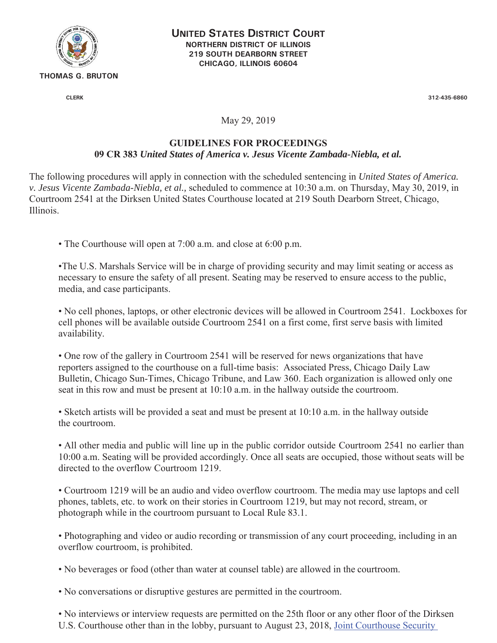

**UNITED STATES DISTRICT COURT NORTHERN DISTRICT OF ILLINOIS 219 SOUTH DEARBORN STREET CHICAGO, ILLINOIS 60604** 

**CLERK 312-435-6860** 

## May 29, 2019

## **GUIDELINES FOR PROCEEDINGS**

## **09 CR 383** *United States of America v. Jesus Vicente Zambada-Niebla, et al.*

The following procedures will apply in connection with the scheduled sentencing in *United States of America. v. Jesus Vicente Zambada-Niebla, et al.,* scheduled to commence at 10:30 a.m. on Thursday, May 30, 2019, in Courtroom 2541 at the Dirksen United States Courthouse located at 219 South Dearborn Street, Chicago, Illinois.

• The Courthouse will open at 7:00 a.m. and close at 6:00 p.m.

•The U.S. Marshals Service will be in charge of providing security and may limit seating or access as necessary to ensure the safety of all present. Seating may be reserved to ensure access to the public, media, and case participants.

• No cell phones, laptops, or other electronic devices will be allowed in Courtroom 2541. Lockboxes for cell phones will be available outside Courtroom 2541 on a first come, first serve basis with limited availability.

• One row of the gallery in Courtroom 2541 will be reserved for news organizations that have reporters assigned to the courthouse on a full-time basis: Associated Press, Chicago Daily Law Bulletin, Chicago Sun-Times, Chicago Tribune, and Law 360. Each organization is allowed only one seat in this row and must be present at 10:10 a.m. in the hallway outside the courtroom.

• Sketch artists will be provided a seat and must be present at 10:10 a.m. in the hallway outside the courtroom.

• All other media and public will line up in the public corridor outside Courtroom 2541 no earlier than 10:00 a.m. Seating will be provided accordingly. Once all seats are occupied, those without seats will be directed to the overflow Courtroom 1219.

• Courtroom 1219 will be an audio and video overflow courtroom. The media may use laptops and cell phones, tablets, etc. to work on their stories in Courtroom 1219, but may not record, stream, or photograph while in the courtroom pursuant to Local Rule 83.1.

• Photographing and video or audio recording or transmission of any court proceeding, including in an overflow courtroom, is prohibited.

• No beverages or food (other than water at counsel table) are allowed in the courtroom.

• No conversations or disruptive gestures are permitted in the courtroom.

• No interviews or interview requests are permitted on the 25th floor or any other floor of the Dirksen U.S. Courthouse other than in the lobby, pursuant to August 23, 2018, Joint Courthouse Security